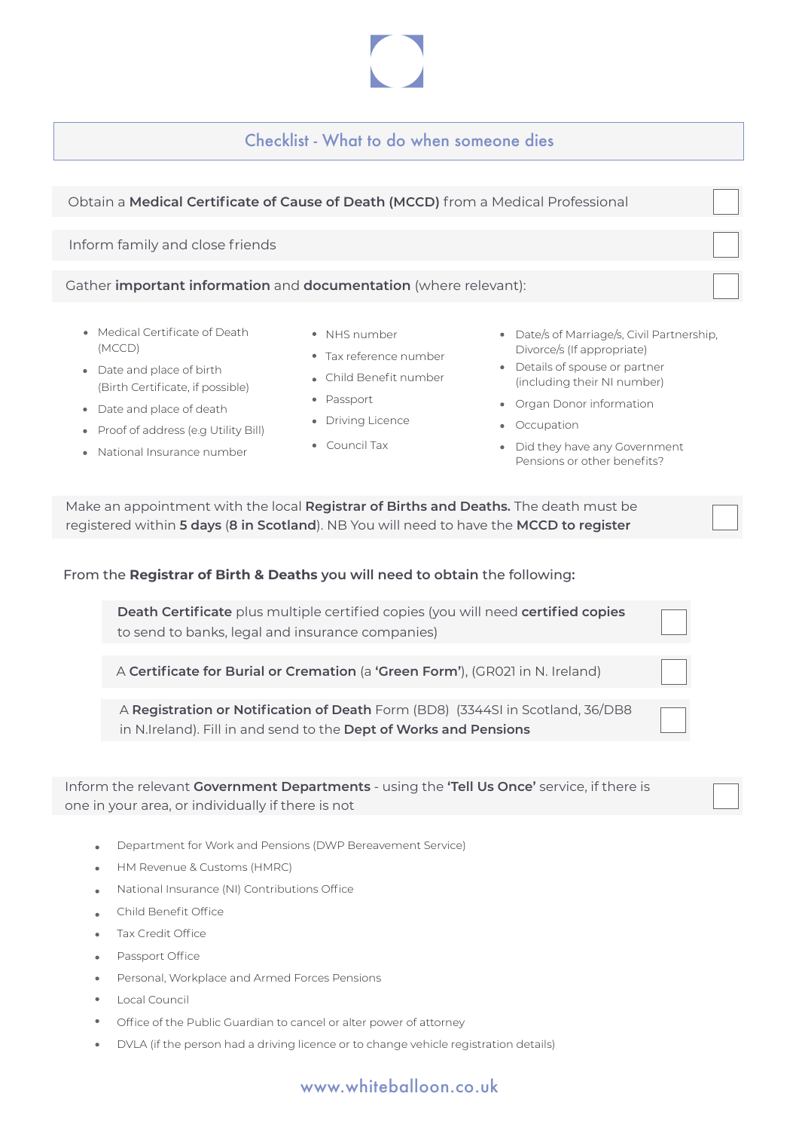Checklist - What to do when someone dies

| Obtain a Medical Certificate of Cause of Death (MCCD) from a Medical Professional |  |
|-----------------------------------------------------------------------------------|--|
|                                                                                   |  |
| Inform family and close friends                                                   |  |
|                                                                                   |  |
| Gather important information and documentation (where relevant):                  |  |
|                                                                                   |  |

- Medical Certificate of Death (MCCD)
- Date and place of birth (Birth Certificate, if possible)
- Date and place of death
- Proof of address (e.g Utility Bill)
- National Insurance number
- NHS number
- Tax reference number
- Child Benefit number
- Passport
- Driving Licence
- Council Tax
- Date/s of Marriage/s, Civil Partnership, Divorce/s (If appropriate)
- Details of spouse or partner (including their NI number)
- Organ Donor information
- Occupation
- Did they have any Government Pensions or other benefits?

| Make an appointment with the local <b>Registrar of Births and Deaths.</b> The death must be |  |
|---------------------------------------------------------------------------------------------|--|
| registered within 5 days (8 in Scotland). NB You will need to have the MCCD to register     |  |

## From the **Registrar of Birth & Deaths you will need to obtain** the following**:**

| <b>Death Certificate</b> plus multiple certified copies (you will need <b>certified copies</b><br>to send to banks, legal and insurance companies)  |  |
|-----------------------------------------------------------------------------------------------------------------------------------------------------|--|
| A Certificate for Burial or Cremation (a 'Green Form'), (GR021 in N. Ireland)                                                                       |  |
| A Registration or Notification of Death Form (BD8) (3344SI in Scotland, 36/DB8<br>in N.Ireland). Fill in and send to the Dept of Works and Pensions |  |

Inform the relevant **Government Departments** - using the **'Tell Us Once'** service, if there is one in your area, or individually if there is not

- Department for Work and Pensions (DWP Bereavement Service)  $\lambda$
- HM Revenue & Customs (HMRC)  $\bullet$
- National Insurance (NI) Contributions Office
- Child Benefit Office
- Tax Credit Office
- Passport Office
- Personal, Workplace and Armed Forces Pensions
- Local Council
- Office of the Public Guardian to cancel or alter power of attorney
- DVLA (if the person had a driving licence or to change vehicle registration details)

## www.whiteballoon.co.uk